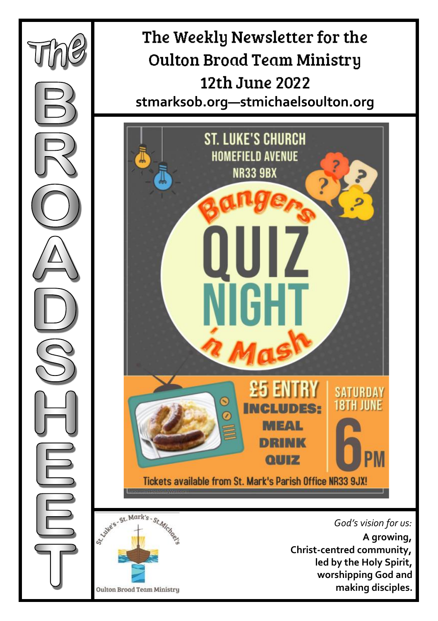The Weekly Newsletter for the **Oulton Broad Team Ministry** 12th June 2022 **stmarksob.org—stmichaelsoulton.org**





*God's vision for us:* **A growing, Christ-centred community, led by the Holy Spirit,**

**worshipping God and making disciples.**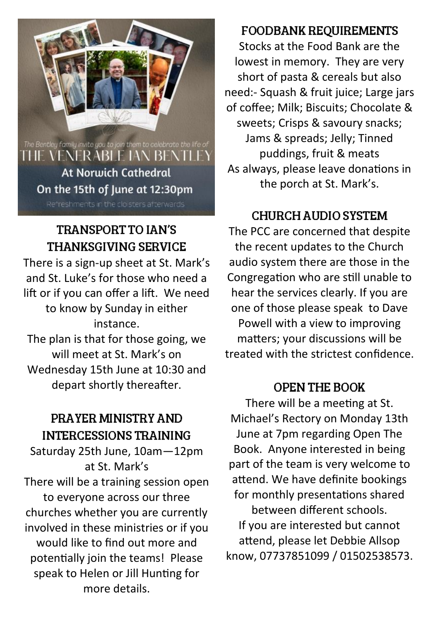

The Bentley family invite you to join them to celebrate the life of  $\mathsf{THE}\, \mathsf{VENERABLE}\, \mathsf{AN}\, \mathsf{BENTLEY}$ **At Norwich Cathedral** On the 15th of June at 12:30pm

## TRANSPORT TO JAN'S **THANKSGIVING SERVICE**

There is a sign-up sheet at St. Mark's and St. Luke's for those who need a lift or if you can offer a lift. We need to know by Sunday in either instance.

The plan is that for those going, we will meet at St. Mark's on Wednesday 15th June at 10:30 and depart shortly thereafter.

## PRAYER MINISTRY AND **INTERCESSIONS TRAINING**

Saturday 25th June, 10am—12pm at St. Mark's There will be a training session open to everyone across our three churches whether you are currently involved in these ministries or if you would like to find out more and potentially join the teams! Please speak to Helen or Jill Hunting for more details.

**FOODBANK REOUIREMENTS** 

Stocks at the Food Bank are the lowest in memory. They are very short of pasta & cereals but also need:- Squash & fruit juice; Large jars of coffee; Milk; Biscuits; Chocolate & sweets; Crisps & savoury snacks; Jams & spreads; Jelly; Tinned puddings, fruit & meats As always, please leave donations in the porch at St. Mark's.

## **CHURCH AUDIO SYSTEM**

The PCC are concerned that despite the recent updates to the Church audio system there are those in the Congregation who are still unable to hear the services clearly. If you are one of those please speak to Dave Powell with a view to improving matters; your discussions will be treated with the strictest confidence.

### **OPEN THE BOOK**

There will be a meeting at St. Michael's Rectory on Monday 13th June at 7pm regarding Open The Book. Anyone interested in being part of the team is very welcome to attend. We have definite bookings for monthly presentations shared between different schools. If you are interested but cannot attend, please let Debbie Allsop know, 07737851099 / 01502538573.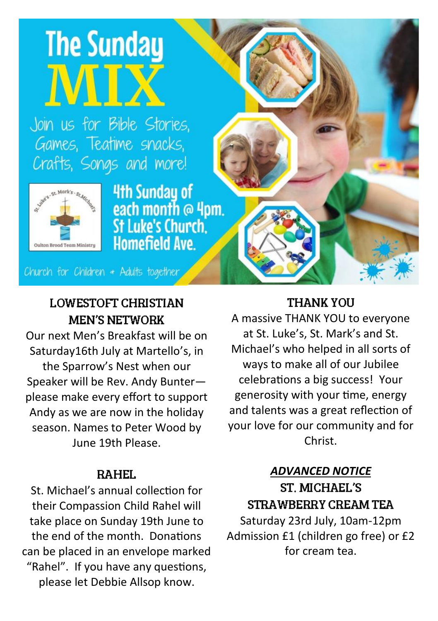# **The Sunday** MIX

Join us for Bible Stories, Games, Teatime snacks, Crafts, Songs and more!



**4th Sunday of** each month @ 4pm.<br>St Luke's Church. **Homefield Ave.** 

Church for Children & Adults together

## **LOWESTOFT CHRISTIAN MEN'S NETWORK**

Our next Men's Breakfast will be on Saturday16th July at Martello's, in the Sparrow's Nest when our Speaker will be Rev. Andy Bunter please make every effort to support Andy as we are now in the holiday season. Names to Peter Wood by June 19th Please.

### RAHEI.

St. Michael's annual collection for their Compassion Child Rahel will take place on Sunday 19th June to the end of the month. Donations can be placed in an envelope marked "Rahel". If you have any questions, please let Debbie Allsop know.

### **THANK YOU**

A massive THANK YOU to everyone at St. Luke's, St. Mark's and St. Michael's who helped in all sorts of ways to make all of our Jubilee celebrations a big success! Your generosity with your time, energy and talents was a great reflection of your love for our community and for Christ.

### *ADVANCED NOTICE* ST. MICHAEL'S **STRAWBERRY CREAM TEA**

Saturday 23rd July, 10am-12pm Admission £1 (children go free) or £2 for cream tea.